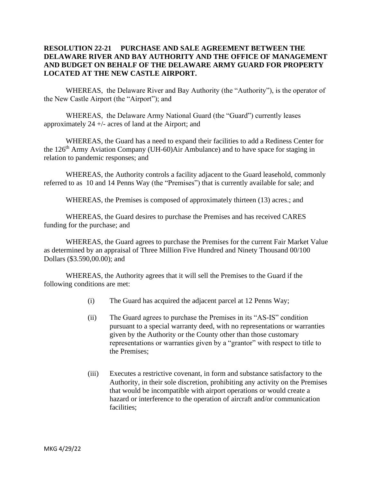## **RESOLUTION 22-21 PURCHASE AND SALE AGREEMENT BETWEEN THE DELAWARE RIVER AND BAY AUTHORITY AND THE OFFICE OF MANAGEMENT AND BUDGET ON BEHALF OF THE DELAWARE ARMY GUARD FOR PROPERTY LOCATED AT THE NEW CASTLE AIRPORT.**

WHEREAS, the Delaware River and Bay Authority (the "Authority"), is the operator of the New Castle Airport (the "Airport"); and

WHEREAS, the Delaware Army National Guard (the "Guard") currently leases approximately 24 +/- acres of land at the Airport; and

WHEREAS, the Guard has a need to expand their facilities to add a Rediness Center for the 126th Army Aviation Company (UH-60)Air Ambulance) and to have space for staging in relation to pandemic responses; and

WHEREAS, the Authority controls a facility adjacent to the Guard leasehold, commonly referred to as 10 and 14 Penns Way (the "Premises") that is currently available for sale; and

WHEREAS, the Premises is composed of approximately thirteen (13) acres.; and

WHEREAS, the Guard desires to purchase the Premises and has received CARES funding for the purchase; and

WHEREAS, the Guard agrees to purchase the Premises for the current Fair Market Value as determined by an appraisal of Three Million Five Hundred and Ninety Thousand 00/100 Dollars (\$3.590,00.00); and

WHEREAS, the Authority agrees that it will sell the Premises to the Guard if the following conditions are met:

- (i) The Guard has acquired the adjacent parcel at 12 Penns Way;
- (ii) The Guard agrees to purchase the Premises in its "AS-IS" condition pursuant to a special warranty deed, with no representations or warranties given by the Authority or the County other than those customary representations or warranties given by a "grantor" with respect to title to the Premises;
- (iii) Executes a restrictive covenant, in form and substance satisfactory to the Authority, in their sole discretion, prohibiting any activity on the Premises that would be incompatible with airport operations or would create a hazard or interference to the operation of aircraft and/or communication facilities;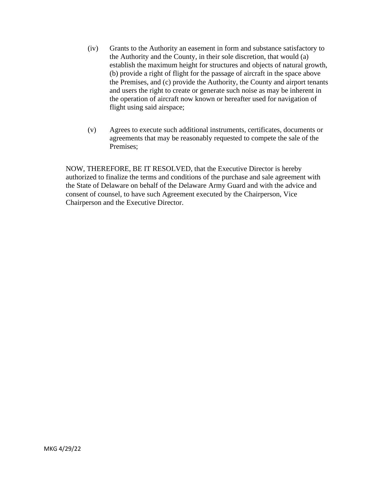- (iv) Grants to the Authority an easement in form and substance satisfactory to the Authority and the County, in their sole discretion, that would (a) establish the maximum height for structures and objects of natural growth, (b) provide a right of flight for the passage of aircraft in the space above the Premises, and (c) provide the Authority, the County and airport tenants and users the right to create or generate such noise as may be inherent in the operation of aircraft now known or hereafter used for navigation of flight using said airspace;
- (v) Agrees to execute such additional instruments, certificates, documents or agreements that may be reasonably requested to compete the sale of the Premises;

NOW, THEREFORE, BE IT RESOLVED, that the Executive Director is hereby authorized to finalize the terms and conditions of the purchase and sale agreement with the State of Delaware on behalf of the Delaware Army Guard and with the advice and consent of counsel, to have such Agreement executed by the Chairperson, Vice Chairperson and the Executive Director.